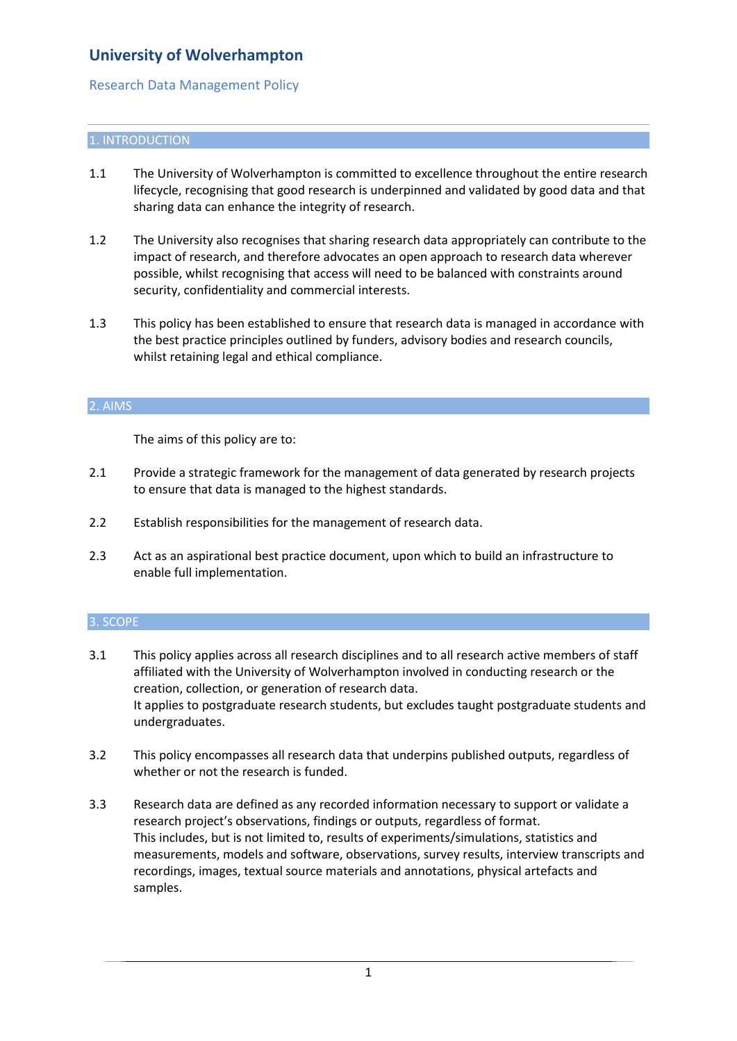## Research Data Management Policy

## 1. INTRODUCTION

- 1.1 The University of Wolverhampton is committed to excellence throughout the entire research lifecycle, recognising that good research is underpinned and validated by good data and that sharing data can enhance the integrity of research.
- 1.2 The University also recognises that sharing research data appropriately can contribute to the impact of research, and therefore advocates an open approach to research data wherever possible, whilst recognising that access will need to be balanced with constraints around security, confidentiality and commercial interests.
- 1.3 This policy has been established to ensure that research data is managed in accordance with the best practice principles outlined by funders, advisory bodies and research councils, whilst retaining legal and ethical compliance.

### 2. AIMS

The aims of this policy are to:

- 2.1 Provide a strategic framework for the management of data generated by research projects to ensure that data is managed to the highest standards.
- 2.2 Establish responsibilities for the management of research data.
- 2.3 Act as an aspirational best practice document, upon which to build an infrastructure to enable full implementation.

### 3. SCOPE

- 3.1 This policy applies across all research disciplines and to all research active members of staff affiliated with the University of Wolverhampton involved in conducting research or the creation, collection, or generation of research data. It applies to postgraduate research students, but excludes taught postgraduate students and undergraduates.
- 3.2 This policy encompasses all research data that underpins published outputs, regardless of whether or not the research is funded.
- 3.3 Research data are defined as any recorded information necessary to support or validate a research project's observations, findings or outputs, regardless of format. This includes, but is not limited to, results of experiments/simulations, statistics and measurements, models and software, observations, survey results, interview transcripts and recordings, images, textual source materials and annotations, physical artefacts and samples.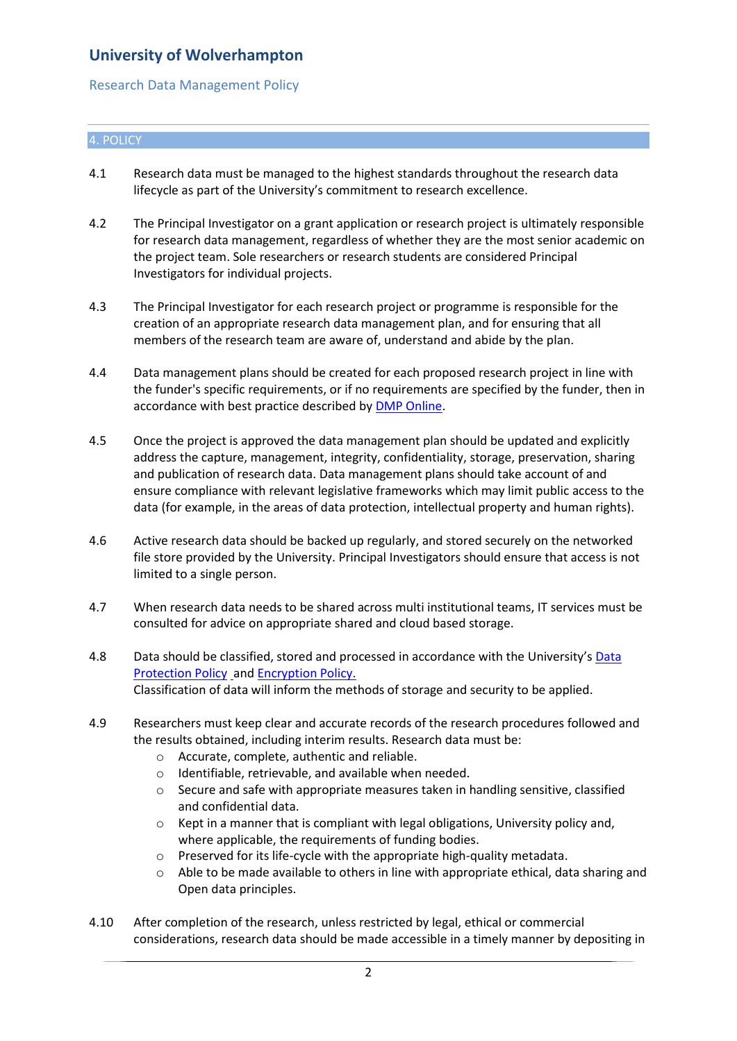## Research Data Management Policy

## 4. POLICY

- 4.1 Research data must be managed to the highest standards throughout the research data lifecycle as part of the University's commitment to research excellence.
- 4.2 The Principal Investigator on a grant application or research project is ultimately responsible for research data management, regardless of whether they are the most senior academic on the project team. Sole researchers or research students are considered Principal Investigators for individual projects.
- 4.3 The Principal Investigator for each research project or programme is responsible for the creation of an appropriate research data management plan, and for ensuring that all members of the research team are aware of, understand and abide by the plan.
- 4.4 Data management plans should be created for each proposed research project in line with the funder's specific requirements, or if no requirements are specified by the funder, then in accordance with best practice described by DMP [Online.](https://dmponline.dcc.ac.uk/)
- 4.5 Once the project is approved the data management plan should be updated and explicitly address the capture, management, integrity, confidentiality, storage, preservation, sharing and publication of research data. Data management plans should take account of and ensure compliance with [relevant legislative frameworks](https://library.leeds.ac.uk/research-data-ethics) which may limit public access to the data (for example, in the areas of data protection, intellectual property and human rights).
- 4.6 Active research data should be backed up regularly, and stored securely on the networked file store provided by the University. Principal Investigators should ensure that access is not limited to a single person.
- 4.7 When research data needs to be shared across multi institutional teams, IT services must be consulted for advice on appropriate shared and cloud based storage.
- 4.8 [Data](https://www.wlv.ac.uk/media/departments/office-of-the-vice-chancellor/Data-Protection-Policy-2018.pdf) should be classified, stored and processed in accordance with the University's Data [Protection Policy](https://www.wlv.ac.uk/media/departments/office-of-the-vice-chancellor/Data-Protection-Policy-2018.pdf) and [Encryption Policy.](https://www.wlv.ac.uk/media/departments/office-of-the-vice-chancellor/images/Encyption-Policy-v.1.1.pdf) Classification of data will inform the methods of storage and security to be applied.
- 4.9 Researchers must keep clear and accurate records of the research procedures followed and the results obtained, including interim results. Research data must be:
	- o Accurate, complete, authentic and reliable.
	- o Identifiable, retrievable, and available when needed.
	- o Secure and safe with appropriate measures taken in handling sensitive, classified and confidential data.
	- $\circ$  Kept in a manner that is compliant with legal obligations, University policy and, where applicable, the requirements of funding bodies.
	- o Preserved for its life-cycle with the appropriate high-quality metadata.
	- $\circ$  Able to be made available to others in line with appropriate ethical, data sharing and Open data principles.
- 4.10 After completion of the research, unless restricted by legal, ethical or commercial considerations, research data should be made accessible in a timely manner by depositing in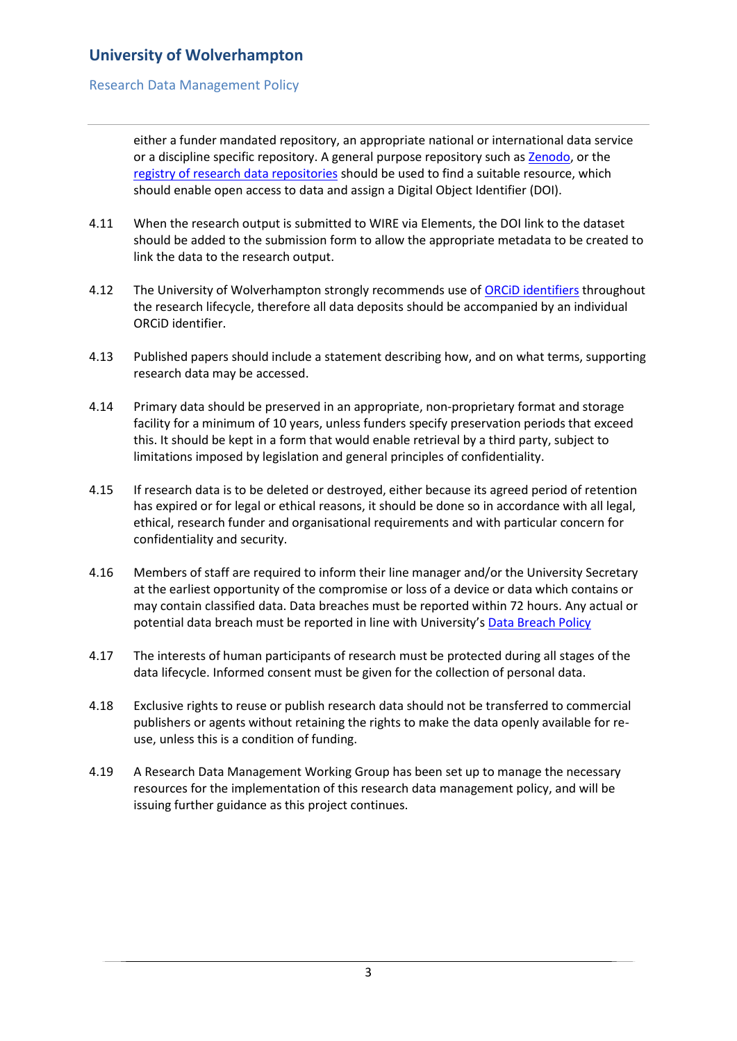## Research Data Management Policy

either a funder mandated repository, an appropriate national or international data service or a discipline specific repository. A general purpose repository such as [Zenodo,](https://zenodo.org/) or the [registry of research data repositories](https://www.re3data.org/) should be used to find a suitable resource, which should enable open access to data and assign a Digital Object Identifier (DOI).

- 4.11 When the research output is submitted to WIRE via Elements, the DOI link to the dataset should be added to the submission form to allow the appropriate metadata to be created to link the data to the research output.
- 4.12 The University of Wolverhampton strongly recommends use o[f ORCiD identifiers](https://orcid.org/) throughout the research lifecycle, therefore all data deposits should be accompanied by an individual ORCiD identifier.
- 4.13 Published papers should include a statement describing how, and on what terms, supporting research data may be accessed.
- 4.14 Primary data should be preserved in an appropriate, non-proprietary format and storage facility for a minimum of 10 years, unless funders specify preservation periods that exceed this. It should be kept in a form that would enable retrieval by a third party, subject to limitations imposed by legislation and general principles of confidentiality.
- 4.15 If research data is to be deleted or destroyed, either because its agreed period of retention has expired or for legal or ethical reasons, it should be done so in accordance with all legal, ethical, research funder and organisational requirements and with particular concern for confidentiality and security.
- 4.16 Members of staff are required to inform their line manager and/or the University Secretary at the earliest opportunity of the compromise or loss of a device or data which contains or may contain classified data. Data breaches must be reported within 72 hours. Any actual or potential data breach must be reported in line with University's [Data Breach Policy](https://www.wlv.ac.uk/media/departments/office-of-the-vice-chancellor/4.2---Data-Breach-Policy-2018.pdf)
- 4.17 The interests of human participants of research must be protected during all stages of the data lifecycle. Informed consent must be given for the collection of personal data.
- 4.18 Exclusive rights to reuse or publish research data should not be transferred to commercial publishers or agents without retaining the rights to make the data openly available for reuse, unless this is a condition of funding.
- 4.19 A Research Data Management Working Group has been set up to manage the necessary resources for the implementation of this research data management policy, and will be issuing further guidance as this project continues.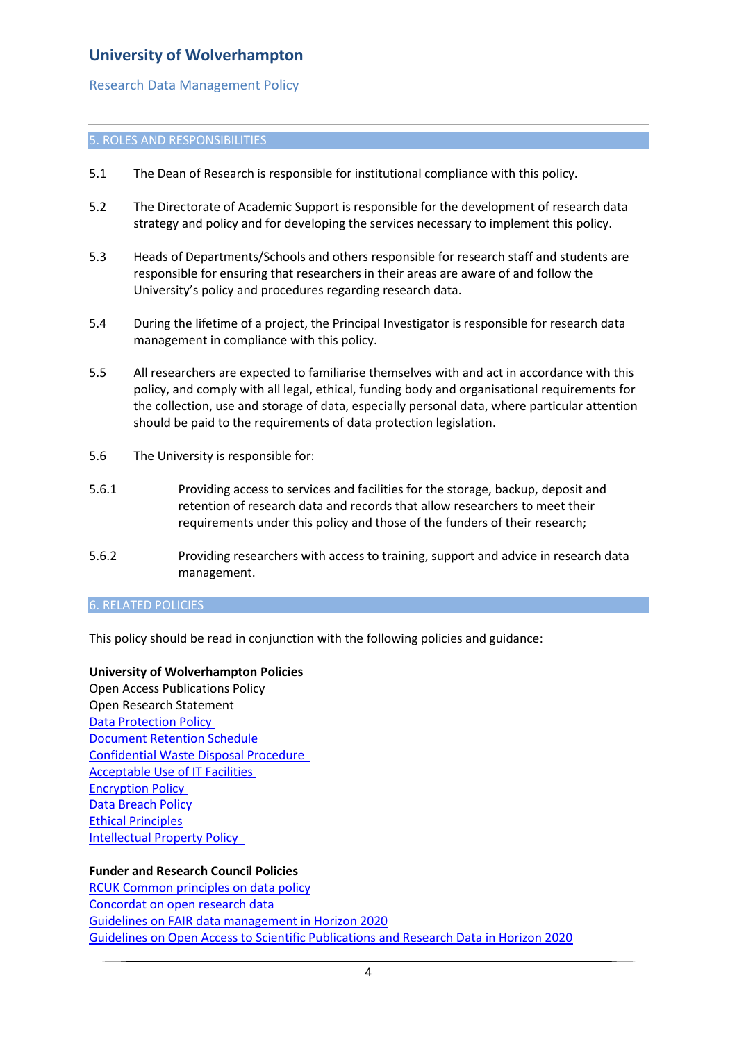### Research Data Management Policy

#### 5. ROLES AND RESPONSIBILITIES

- 5.1 The Dean of Research is responsible for institutional compliance with this policy.
- 5.2 The Directorate of Academic Support is responsible for the development of research data strategy and policy and for developing the services necessary to implement this policy.
- 5.3 Heads of Departments/Schools and others responsible for research staff and students are responsible for ensuring that researchers in their areas are aware of and follow the University's policy and procedures regarding research data.
- 5.4 During the lifetime of a project, the Principal Investigator is responsible for research data management in compliance with this policy.
- 5.5 All researchers are expected to familiarise themselves with and act in accordance with this policy, and comply with all legal, ethical, funding body and organisational requirements for the collection, use and storage of data, especially personal data, where particular attention should be paid to the requirements of data protection legislation.
- 5.6 The University is responsible for:
- 5.6.1 Providing access to services and facilities for the storage, backup, deposit and retention of research data and records that allow researchers to meet their requirements under this policy and those of the funders of their research;
- 5.6.2 Providing researchers with access to training, support and advice in research data management.

### 6. RELATED POLICIES

This policy should be read in conjunction with the following policies and guidance:

### **University of Wolverhampton Policies**

Open Access Publications Policy Open Research Statement **[Data Protection Policy](https://www.wlv.ac.uk/media/departments/office-of-the-vice-chancellor/Data-Protection-Policy-2018.pdf)** [Document Retention Schedule](https://www.wlv.ac.uk/media/departments/office-of-the-vice-chancellor/Retention-Schedule---DRAFT-v1.2_-170418-(2)-FINAL.pdf) [Confidential Waste Disposal Procedure](https://www.wlv.ac.uk/media/departments/office-of-the-vice-chancellor/documents/CONFIDENTIAL-WASTE-DISPOSAL-PROCEDURE-Dec-2019.pdf)  [Acceptable Use of IT Facilities](https://www.wlv.ac.uk/media/departments/office-of-the-vice-chancellor/documents/Acceptable-Use-of-IT-Facilities.pdf) [Encryption Policy](https://www.wlv.ac.uk/media/departments/office-of-the-vice-chancellor/images/Encyption-Policy-v.1.1.pdf) [Data Breach Policy](https://www.wlv.ac.uk/media/departments/office-of-the-vice-chancellor/4.2---Data-Breach-Policy-2018.pdf) [Ethical Principles](https://www.wlv.ac.uk/media/departments/office-of-the-vice-chancellor/Ethical-Principles.pdf) [Intellectual Property Policy](https://www.wlv.ac.uk/media/departments/office-of-the-vice-chancellor/documents/Intellectual-Property-Policy---Version-3---approved-July-2016.pdf) 

### **Funder and Research Council Policies**

[RCUK Common principles on data policy](https://www.ukri.org/funding/information-for-award-holders/data-policy/common-principles-on-data-policy/) [Concordat on open research data](https://www.ukri.org/files/legacy/documents/concordatonopenresearchdata-pdf/) [Guidelines on FAIR data management in Horizon 2020](http://ec.europa.eu/research/participants/data/ref/h2020/grants_manual/hi/oa_pilot/h2020-hi-oa-data-mgt_en.pdf) [Guidelines on Open Access to Scientific Publications and Research Data in Horizon 2020](http://ec.europa.eu/research/participants/data/ref/h2020/grants_manual/hi/oa_pilot/h2020-hi-oa-pilot-guide_en.pdf)